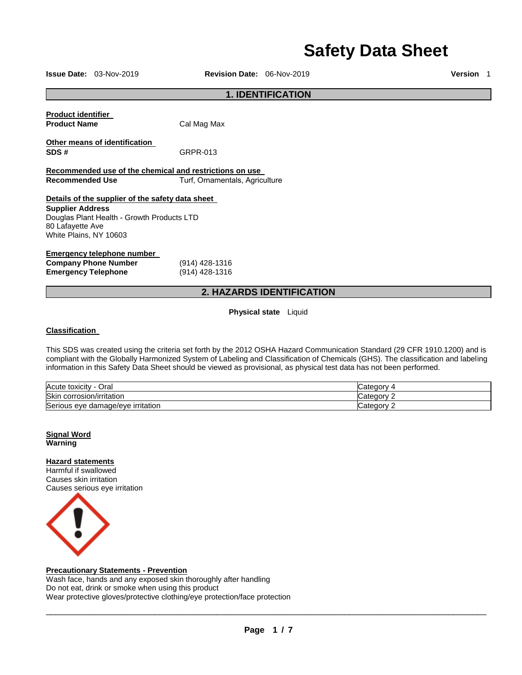# **Safety Data Sheet**

**Issue Date:** 03-Nov-2019 **Revision Date:** 06-Nov-2019 **Version** 1

# **1. IDENTIFICATION**

| <b>Product identifier</b>                               |                                |  |
|---------------------------------------------------------|--------------------------------|--|
| <b>Product Name</b>                                     | Cal Mag Max                    |  |
| Other means of identification                           |                                |  |
| SDS#                                                    | GRPR-013                       |  |
|                                                         |                                |  |
| Recommended use of the chemical and restrictions on use |                                |  |
| <b>Recommended Use</b>                                  | Turf, Ornamentals, Agriculture |  |
|                                                         |                                |  |
| Details of the supplier of the safety data sheet        |                                |  |
| <b>Supplier Address</b>                                 |                                |  |

Douglas Plant Health - Growth Products LTD 80 Lafayette Ave White Plains, NY 10603

# **Emergency telephone number**

| <b>Company Phone Number</b> | (914) 428-1316 |
|-----------------------------|----------------|
| <b>Emergency Telephone</b>  | (914) 428-1316 |

# **2. HAZARDS IDENTIFICATION**

**Physical state** Liquid

# **Classification**

This SDS was created using the criteria set forth by the 2012 OSHA Hazard Communication Standard (29 CFR 1910.1200) and is compliant with the Globally Harmonized System of Labeling and Classification of Chemicals (GHS). The classification and labeling information in this Safety Data Sheet should be viewed as provisional, as physical test data has not been performed.

| $\overline{\phantom{0}}$<br>Acute toxicity<br>الOral | .<br>salcuu |
|------------------------------------------------------|-------------|
| Skin<br>⊦corrosion/irritation                        | atonomi -   |
| Serious eye<br>e damage/eve irritation               | 'ataann     |

# **Signal Word Warning**

# **Hazard statements**

Harmful if swallowed Causes skin irritation Causes serious eye irritation



# **Precautionary Statements - Prevention**

Wash face, hands and any exposed skin thoroughly after handling Do not eat, drink or smoke when using this product Wear protective gloves/protective clothing/eye protection/face protection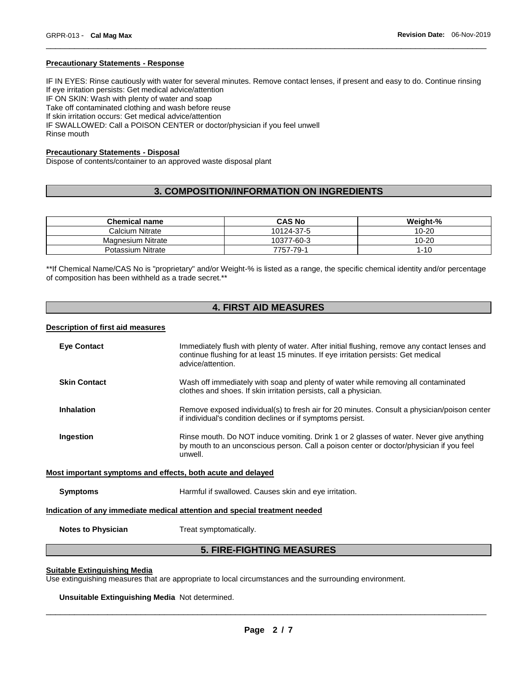#### **Precautionary Statements - Response**

IF IN EYES: Rinse cautiously with water for several minutes. Remove contact lenses, if present and easy to do. Continue rinsing If eye irritation persists: Get medical advice/attention IF ON SKIN: Wash with plenty of water and soap Take off contaminated clothing and wash before reuse If skin irritation occurs: Get medical advice/attention IF SWALLOWED: Call a POISON CENTER or doctor/physician if you feel unwell Rinse mouth

\_\_\_\_\_\_\_\_\_\_\_\_\_\_\_\_\_\_\_\_\_\_\_\_\_\_\_\_\_\_\_\_\_\_\_\_\_\_\_\_\_\_\_\_\_\_\_\_\_\_\_\_\_\_\_\_\_\_\_\_\_\_\_\_\_\_\_\_\_\_\_\_\_\_\_\_\_\_\_\_\_\_\_\_\_\_\_\_\_\_\_\_\_

# **Precautionary Statements - Disposal**

Dispose of contents/container to an approved waste disposal plant

# **3. COMPOSITION/INFORMATION ON INGREDIENTS**

| <b>Chemical name</b>     | <b>CAS No</b> | Weight-%  |
|--------------------------|---------------|-----------|
| Calcium Nitrate          | 10124-37-5    | $10 - 20$ |
| <b>Magnesium Nitrate</b> | 10377-60-3    | $10 - 20$ |
| Potassium Nitrate        | 7757-79-1     | -10       |

\*\*If Chemical Name/CAS No is "proprietary" and/or Weight-% is listed as a range, the specific chemical identity and/or percentage of composition has been withheld as a trade secret.\*\*

# **4. FIRST AID MEASURES**

# **Description of first aid measures**

| <b>Eve Contact</b>                                                         | Immediately flush with plenty of water. After initial flushing, remove any contact lenses and<br>continue flushing for at least 15 minutes. If eye irritation persists: Get medical<br>advice/attention. |  |
|----------------------------------------------------------------------------|----------------------------------------------------------------------------------------------------------------------------------------------------------------------------------------------------------|--|
| <b>Skin Contact</b>                                                        | Wash off immediately with soap and plenty of water while removing all contaminated<br>clothes and shoes. If skin irritation persists, call a physician.                                                  |  |
| <b>Inhalation</b>                                                          | Remove exposed individual(s) to fresh air for 20 minutes. Consult a physician/poison center<br>if individual's condition declines or if symptoms persist.                                                |  |
| Ingestion                                                                  | Rinse mouth. Do NOT induce vomiting. Drink 1 or 2 glasses of water. Never give anything<br>by mouth to an unconscious person. Call a poison center or doctor/physician if you feel<br>unwell.            |  |
| Most important symptoms and effects, both acute and delayed                |                                                                                                                                                                                                          |  |
| <b>Symptoms</b>                                                            | Harmful if swallowed. Causes skin and eye irritation.                                                                                                                                                    |  |
| Indication of any immediate medical attention and special treatment needed |                                                                                                                                                                                                          |  |
| <b>Notes to Physician</b>                                                  | Treat symptomatically.                                                                                                                                                                                   |  |

# **5. FIRE-FIGHTING MEASURES**

# **Suitable Extinguishing Media**

Use extinguishing measures that are appropriate to local circumstances and the surrounding environment.

**Unsuitable Extinguishing Media** Not determined.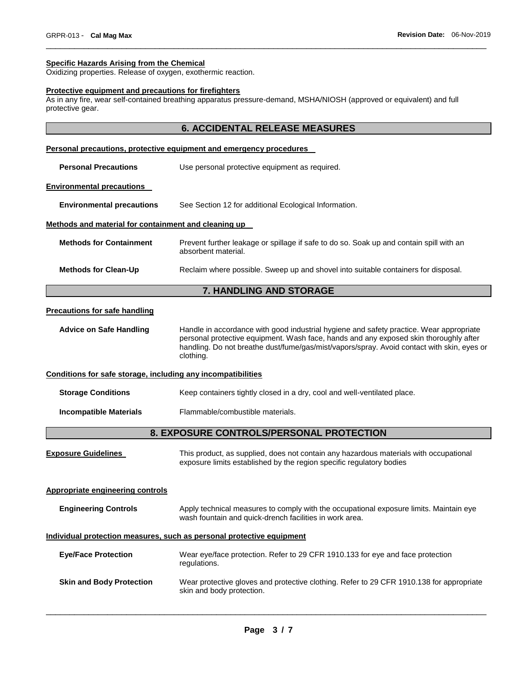#### **Specific Hazards Arising from the Chemical**

Oxidizing properties. Release of oxygen, exothermic reaction.

#### **Protective equipment and precautions for firefighters**

As in any fire, wear self-contained breathing apparatus pressure-demand, MSHA/NIOSH (approved or equivalent) and full protective gear.

# **6. ACCIDENTAL RELEASE MEASURES**

\_\_\_\_\_\_\_\_\_\_\_\_\_\_\_\_\_\_\_\_\_\_\_\_\_\_\_\_\_\_\_\_\_\_\_\_\_\_\_\_\_\_\_\_\_\_\_\_\_\_\_\_\_\_\_\_\_\_\_\_\_\_\_\_\_\_\_\_\_\_\_\_\_\_\_\_\_\_\_\_\_\_\_\_\_\_\_\_\_\_\_\_\_

#### **Personal precautions, protective equipment and emergency procedures**

| <b>Personal Precautions</b>                          | Use personal protective equipment as required.                                                                 |  |
|------------------------------------------------------|----------------------------------------------------------------------------------------------------------------|--|
| <b>Environmental precautions</b>                     |                                                                                                                |  |
| <b>Environmental precautions</b>                     | See Section 12 for additional Ecological Information.                                                          |  |
| Methods and material for containment and cleaning up |                                                                                                                |  |
| <b>Methods for Containment</b>                       | Prevent further leakage or spillage if safe to do so. Soak up and contain spill with an<br>absorbent material. |  |
| <b>Methods for Clean-Up</b>                          | Reclaim where possible. Sweep up and shovel into suitable containers for disposal.                             |  |

# **7. HANDLING AND STORAGE**

### **Precautions for safe handling**

**Advice on Safe Handling** Handle in accordance with good industrial hygiene and safety practice. Wear appropriate personal protective equipment. Wash face, hands and any exposed skin thoroughly after handling. Do not breathe dust/fume/gas/mist/vapors/spray. Avoid contact with skin, eyes or clothing.

## **Conditions for safe storage, including any incompatibilities**

| <b>Storage Conditions</b> | Keep containers tightly closed in a dry, cool and well-ventilated place. |  |
|---------------------------|--------------------------------------------------------------------------|--|
|                           |                                                                          |  |

**Incompatible Materials** Flammable/combustible materials.

# **8. EXPOSURE CONTROLS/PERSONAL PROTECTION**

| <b>Exposure Guidelines</b> | This product, as supplied, does not contain any hazardous materials with occupational |
|----------------------------|---------------------------------------------------------------------------------------|
|                            | exposure limits established by the region specific regulatory bodies                  |

# **Appropriate engineering controls**

| <b>Engineering Controls</b> | Apply technical measures to comply with the occupational exposure limits. Maintain eye |
|-----------------------------|----------------------------------------------------------------------------------------|
|                             | wash fountain and quick-drench facilities in work area.                                |

# **Individual protection measures, such as personal protective equipment**

| <b>Eve/Face Protection</b>      | Wear eye/face protection. Refer to 29 CFR 1910.133 for eye and face protection<br>regulations.                        |
|---------------------------------|-----------------------------------------------------------------------------------------------------------------------|
| <b>Skin and Body Protection</b> | Wear protective gloves and protective clothing. Refer to 29 CFR 1910.138 for appropriate<br>skin and body protection. |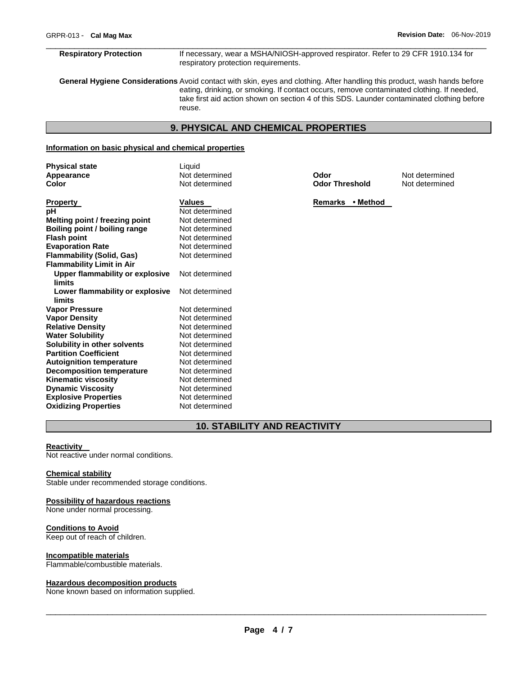\_\_\_\_\_\_\_\_\_\_\_\_\_\_\_\_\_\_\_\_\_\_\_\_\_\_\_\_\_\_\_\_\_\_\_\_\_\_\_\_\_\_\_\_\_\_\_\_\_\_\_\_\_\_\_\_\_\_\_\_\_\_\_\_\_\_\_\_\_\_\_\_\_\_\_\_\_\_\_\_\_\_\_\_\_\_\_\_\_\_\_\_\_ **Respiratory Protection** If necessary, wear a MSHA/NIOSH-approved respirator. Refer to 29 CFR 1910.134 for respiratory protection requirements.

**General Hygiene Considerations** Avoid contact with skin, eyes and clothing. After handling this product, wash hands before eating, drinking, or smoking. If contact occurs, remove contaminated clothing. If needed, take first aid action shown on section 4 of this SDS. Launder contaminated clothing before reuse.

# **9. PHYSICAL AND CHEMICAL PROPERTIES**

# **Information on basic physical and chemical properties**

| <b>Physical state</b>            | Liquid         |                       |                |
|----------------------------------|----------------|-----------------------|----------------|
| Appearance                       | Not determined | Odor                  | Not determined |
| Color                            | Not determined | <b>Odor Threshold</b> | Not determined |
|                                  |                |                       |                |
| Property                         | <b>Values</b>  | Remarks • Method      |                |
| pН                               | Not determined |                       |                |
| Melting point / freezing point   | Not determined |                       |                |
| Boiling point / boiling range    | Not determined |                       |                |
| <b>Flash point</b>               | Not determined |                       |                |
| <b>Evaporation Rate</b>          | Not determined |                       |                |
| Flammability (Solid, Gas)        | Not determined |                       |                |
| <b>Flammability Limit in Air</b> |                |                       |                |
| Upper flammability or explosive  | Not determined |                       |                |
| limits                           |                |                       |                |
| Lower flammability or explosive  | Not determined |                       |                |
| limits                           |                |                       |                |
| <b>Vapor Pressure</b>            | Not determined |                       |                |
| Vapor Density                    | Not determined |                       |                |
| <b>Relative Density</b>          | Not determined |                       |                |
| <b>Water Solubility</b>          | Not determined |                       |                |
| Solubility in other solvents     | Not determined |                       |                |
| <b>Partition Coefficient</b>     | Not determined |                       |                |
| <b>Autoignition temperature</b>  | Not determined |                       |                |
| <b>Decomposition temperature</b> | Not determined |                       |                |
| Kinematic viscosity              | Not determined |                       |                |
| <b>Dynamic Viscosity</b>         | Not determined |                       |                |
| <b>Explosive Properties</b>      | Not determined |                       |                |

# **10. STABILITY AND REACTIVITY**

#### **Reactivity**

Not reactive under normal conditions.

# **Chemical stability**

Stable under recommended storage conditions.

**Oxidizing Properties Not determined** 

#### **Possibility of hazardous reactions**

None under normal processing.

# **Conditions to Avoid**

Keep out of reach of children.

#### **Incompatible materials**

Flammable/combustible materials.

#### **Hazardous decomposition products**

None known based on information supplied.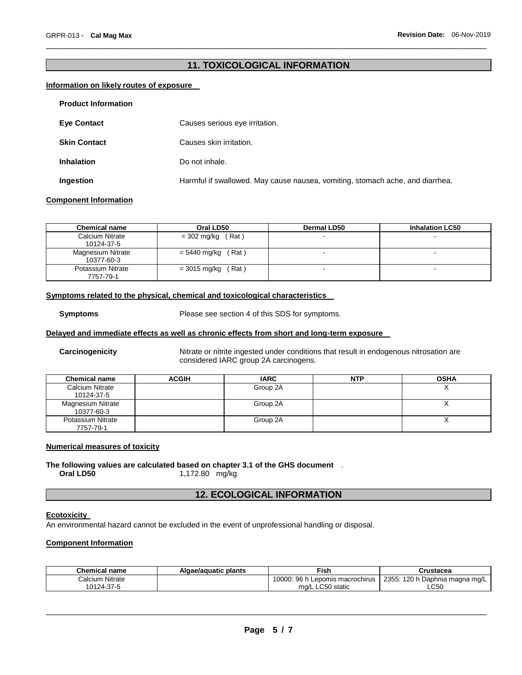# **11. TOXICOLOGICAL INFORMATION**

\_\_\_\_\_\_\_\_\_\_\_\_\_\_\_\_\_\_\_\_\_\_\_\_\_\_\_\_\_\_\_\_\_\_\_\_\_\_\_\_\_\_\_\_\_\_\_\_\_\_\_\_\_\_\_\_\_\_\_\_\_\_\_\_\_\_\_\_\_\_\_\_\_\_\_\_\_\_\_\_\_\_\_\_\_\_\_\_\_\_\_\_\_

# **Information on likely routes of exposure**

| <b>Product Information</b> |                                                                               |
|----------------------------|-------------------------------------------------------------------------------|
| <b>Eve Contact</b>         | Causes serious eye irritation.                                                |
| <b>Skin Contact</b>        | Causes skin irritation.                                                       |
| <b>Inhalation</b>          | Do not inhale.                                                                |
| Ingestion                  | Harmful if swallowed. May cause nausea, vomiting, stomach ache, and diarrhea. |

#### **Component Information**

| <b>Chemical name</b>            | Oral LD50             | <b>Dermal LD50</b> | <b>Inhalation LC50</b> |
|---------------------------------|-----------------------|--------------------|------------------------|
| Calcium Nitrate<br>10124-37-5   | $=$ 302 mg/kg (Rat)   |                    |                        |
| Magnesium Nitrate<br>10377-60-3 | $= 5440$ mg/kg (Rat)  |                    | -                      |
| Potassium Nitrate<br>7757-79-1  | = 3015 mg/kg<br>(Rat) |                    | $\blacksquare$         |

# **Symptoms related to the physical, chemical and toxicological characteristics**

**Symptoms** Please see section 4 of this SDS for symptoms.

# **Delayed and immediate effects as well as chronic effects from short and long-term exposure**

**Carcinogenicity** Nitrate or nitrite ingested under conditions that result in endogenous nitrosation are considered IARC group 2A carcinogens.

| <b>Chemical name</b>                   | <b>ACGIH</b> | <b>IARC</b> | <b>NTP</b> | <b>OSHA</b> |
|----------------------------------------|--------------|-------------|------------|-------------|
| Calcium Nitrate<br>10124-37-5          |              | Group 2A    |            |             |
| <b>Magnesium Nitrate</b><br>10377-60-3 |              | Group 2A    |            |             |
| Potassium Nitrate<br>7757-79-1         |              | Group 2A    |            |             |

# **Numerical measures of toxicity**

## **The following values are calculated based on chapter 3.1 of the GHS document** . **Oral LD50** 1,172.80 mg/kg

# **12. ECOLOGICAL INFORMATION**

# **Ecotoxicity**

An environmental hazard cannot be excluded in the event of unprofessional handling or disposal.

# **Component Information**

| <b>Chemical name</b> | Algae/aguatic plants | Fish.                                 | Crustacea                      |
|----------------------|----------------------|---------------------------------------|--------------------------------|
| Calcium Nitrate      |                      | 10000: 96 h<br>∟Lepomis macrochirus ∥ | 2355: 120 h Daphnia magna mg/L |
| 10124-37-5           |                      | mg/L LC50 static                      | LC50                           |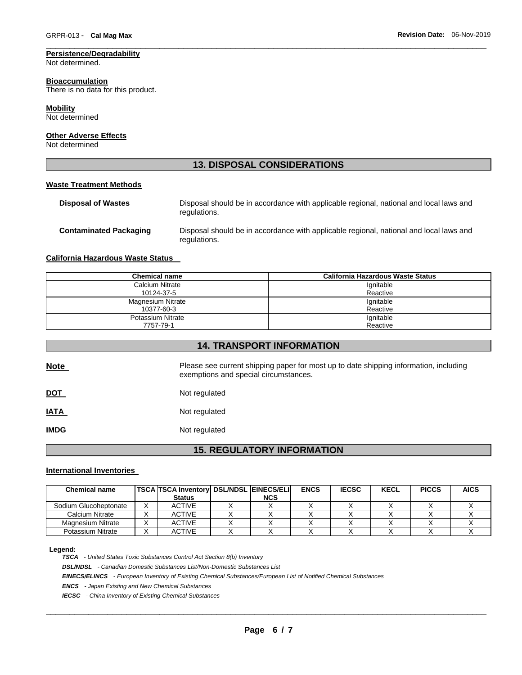# **Persistence/Degradability**

Not determined.

#### **Bioaccumulation**

There is no data for this product.

#### **Mobility**

Not determined

# **Other Adverse Effects**

Not determined

# **13. DISPOSAL CONSIDERATIONS**

\_\_\_\_\_\_\_\_\_\_\_\_\_\_\_\_\_\_\_\_\_\_\_\_\_\_\_\_\_\_\_\_\_\_\_\_\_\_\_\_\_\_\_\_\_\_\_\_\_\_\_\_\_\_\_\_\_\_\_\_\_\_\_\_\_\_\_\_\_\_\_\_\_\_\_\_\_\_\_\_\_\_\_\_\_\_\_\_\_\_\_\_\_

#### **Waste Treatment Methods**

| <b>Disposal of Wastes</b>     | Disposal should be in accordance with applicable regional, national and local laws and<br>regulations. |
|-------------------------------|--------------------------------------------------------------------------------------------------------|
| <b>Contaminated Packaging</b> | Disposal should be in accordance with applicable regional, national and local laws and<br>regulations. |

# **California Hazardous Waste Status**

| <b>Chemical name</b> | California Hazardous Waste Status |
|----------------------|-----------------------------------|
| Calcium Nitrate      | Ignitable                         |
| 10124-37-5           | Reactive                          |
| Magnesium Nitrate    | Ignitable                         |
| 10377-60-3           | Reactive                          |
| Potassium Nitrate    | Ignitable                         |
| 7757-79-1            | Reactive                          |

**14. TRANSPORT INFORMATION** 

| <b>Note</b> | Please see current shipping paper for most up to date shipping information, including<br>exemptions and special circumstances. |
|-------------|--------------------------------------------------------------------------------------------------------------------------------|
| <u>DOT</u>  | Not regulated                                                                                                                  |
| <b>IATA</b> | Not regulated                                                                                                                  |
| <b>IMDG</b> | Not regulated                                                                                                                  |
|             |                                                                                                                                |

# **15. REGULATORY INFORMATION**

#### **International Inventories**

| <b>Chemical name</b>  | <b>TSCA TSCA Inventory DSL/NDSL EINECS/ELI</b> |            | <b>ENCS</b> | <b>IECSC</b> | <b>KECL</b> | <b>PICCS</b> | <b>AICS</b> |
|-----------------------|------------------------------------------------|------------|-------------|--------------|-------------|--------------|-------------|
|                       | <b>Status</b>                                  | <b>NCS</b> |             |              |             |              |             |
| Sodium Glucoheptonate | <b>ACTIVE</b>                                  |            |             |              |             |              |             |
| Calcium Nitrate       | <b>ACTIVE</b>                                  |            |             |              |             |              |             |
| Magnesium Nitrate     | <b>ACTIVE</b>                                  |            |             |              |             |              |             |
| Potassium Nitrate     | ACTIVE                                         |            |             |              |             |              |             |

#### **Legend:**

*TSCA - United States Toxic Substances Control Act Section 8(b) Inventory* 

*DSL/NDSL - Canadian Domestic Substances List/Non-Domestic Substances List* 

*EINECS/ELINCS - European Inventory of Existing Chemical Substances/European List of Notified Chemical Substances* 

*ENCS - Japan Existing and New Chemical Substances* 

*IECSC - China Inventory of Existing Chemical Substances*